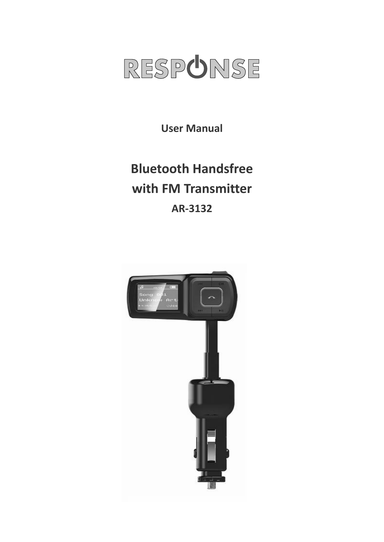

**User Manual**

# **Bluetooth Handsfree with FM Transmitter AR‐3132**

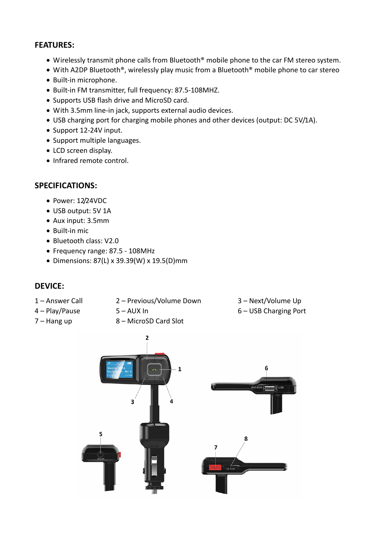#### **FEATURES:**

- Wirelessly transmit phone calls from Bluetooth® mobile phone to the car FM stereo system.
- With A2DP Bluetooth®, wirelessly play music from a Bluetooth® mobile phone to car stereo
- Built-in microphone.
- Built‐in FM transmitter, full frequency: 87.5‐108MHZ.
- Supports USB flash drive and MicroSD card.
- With 3.5mm line‐in jack, supports external audio devices.
- USB charging port for charging mobile phones and other devices (output: DC 5V/1A).
- Support 12-24V input.
- Support multiple languages.
- LCD screen display.
- Infrared remote control.

#### **SPECIFICATIONS:**

- Power: 12/24VDC
- USB output: 5V 1A
- Aux input: 3.5mm
- Built-in mic
- Bluetooth class: V2.0
- Frequency range: 87.5 ‐ 108MHz
- Dimensions: 87(L) x 39.39(W) x 19.5(D)mm

# **DEVICE:**

- 
- 1 Answer Call 2 Previous/Volume Down 3 Next/Volume Up
	-
- 
- 
- 7 Hang up  $8 -$  MicroSD Card Slot
- 
- 4 Play/Pause 5 AUX In 6 USB Charging Port
	- $\overline{2}$  $\mathbf{1}$ 6  $\overline{\mathbf{3}}$ 5 R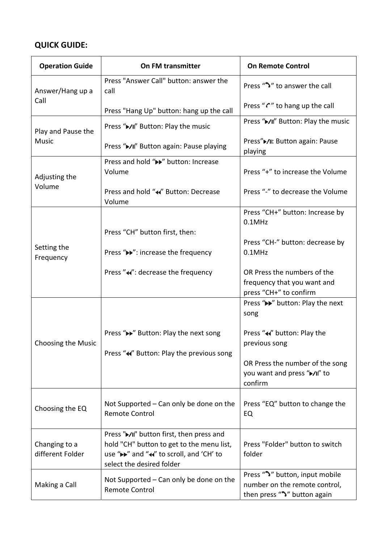# **QUICK GUIDE:**

| <b>Operation Guide</b>             | On FM transmitter                                                                                                                                              | <b>On Remote Control</b>                                                                        |
|------------------------------------|----------------------------------------------------------------------------------------------------------------------------------------------------------------|-------------------------------------------------------------------------------------------------|
| Answer/Hang up a<br>Call           | Press "Answer Call" button: answer the<br>call                                                                                                                 | Press "ン" to answer the call                                                                    |
|                                    | Press "Hang Up" button: hang up the call                                                                                                                       | Press "" to hang up the call                                                                    |
| Play and Pause the<br><b>Music</b> | Press "▶/II" Button: Play the music                                                                                                                            | Press "▶/II" Button: Play the music                                                             |
|                                    | Press "▶/II" Button again: Pause playing                                                                                                                       | Press"▶/II: Button again: Pause<br>playing                                                      |
| Adjusting the<br>Volume            | Press and hold ">>" button: Increase<br>Volume                                                                                                                 | Press "+" to increase the Volume                                                                |
|                                    | Press and hold "◀" Button: Decrease<br>Volume                                                                                                                  | Press "-" to decrease the Volume                                                                |
| Setting the<br>Frequency           |                                                                                                                                                                | Press "CH+" button: Increase by<br>$0.1$ MHz                                                    |
|                                    | Press "CH" button first, then:                                                                                                                                 | Press "CH-" button: decrease by                                                                 |
|                                    | Press "▶ ": increase the frequency                                                                                                                             | $0.1$ MHz                                                                                       |
|                                    | Press "«": decrease the frequency                                                                                                                              | OR Press the numbers of the                                                                     |
|                                    |                                                                                                                                                                | frequency that you want and<br>press "CH+" to confirm                                           |
| Choosing the Music                 |                                                                                                                                                                | Press ">>" button: Play the next<br>song                                                        |
|                                    | Press "► "Button: Play the next song                                                                                                                           | Press "<<"> whitton: Play the                                                                   |
|                                    | Press "«" Button: Play the previous song                                                                                                                       | previous song                                                                                   |
|                                    |                                                                                                                                                                | OR Press the number of the song                                                                 |
|                                    |                                                                                                                                                                | you want and press "►/II" to<br>confirm                                                         |
| Choosing the EQ                    | Not Supported - Can only be done on the<br>Remote Control                                                                                                      | Press "EQ" button to change the<br>EQ                                                           |
|                                    |                                                                                                                                                                |                                                                                                 |
| Changing to a<br>different Folder  | Press "▶/II" button first, then press and<br>hold "CH" button to get to the menu list,<br>use ">>" and "«" to scroll, and 'CH' to<br>select the desired folder | Press "Folder" button to switch<br>folder                                                       |
| Making a Call                      | Not Supported - Can only be done on the<br><b>Remote Control</b>                                                                                               | Press ">" button, input mobile<br>number on the remote control,<br>then press "">" button again |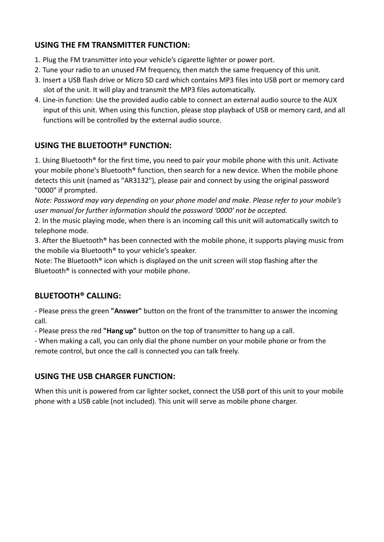# **USING THE FM TRANSMITTER FUNCTION:**

- 1. Plug the FM transmitter into your vehicle's cigarette lighter or power port.
- 2. Tune your radio to an unused FM frequency, then match the same frequency of this unit.
- 3. Insert a USB flash drive or Micro SD card which contains MP3 files into USB port or memory card slot of the unit. It will play and transmit the MP3 files automatically.
- 4. Line‐in function: Use the provided audio cable to connect an external audio source to the AUX input of this unit. When using this function, please stop playback of USB or memory card, and all functions will be controlled by the external audio source.

# **USING THE BLUETOOTH® FUNCTION:**

1. Using Bluetooth® for the first time, you need to pair your mobile phone with this unit. Activate your mobile phone's Bluetooth® function, then search for a new device. When the mobile phone detects this unit (named as "AR3132"), please pair and connect by using the original password "0000" if prompted.

*Note: Password may vary depending on your phone model and make. Please refer to your mobile's user manual for further information should the password '0000' not be accepted.*

2. In the music playing mode, when there is an incoming call this unit will automatically switch to telephone mode.

3. After the Bluetooth® has been connected with the mobile phone, it supports playing music from the mobile via Bluetooth® to your vehicle's speaker.

Note: The Bluetooth® icon which is displayed on the unit screen will stop flashing after the Bluetooth® is connected with your mobile phone.

# **BLUETOOTH® CALLING:**

‐ Please press the green **"Answer"** button on the front of the transmitter to answer the incoming call.

‐ Please press the red **"Hang up"** button on the top of transmitter to hang up a call.

‐ When making a call, you can only dial the phone number on your mobile phone or from the remote control, but once the call is connected you can talk freely.

# **USING THE USB CHARGER FUNCTION:**

When this unit is powered from car lighter socket, connect the USB port of this unit to your mobile phone with a USB cable (not included). This unit will serve as mobile phone charger.